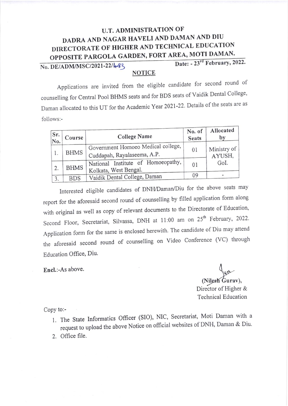## DADRA AND NAGAR HAVELI AND DAMAN AND DIU DIRECTORATE OF HIGHER AND TECHNICAL EDUCATION U.T. ADMINISTRATION OF OPPOSITE PARGOLA GARDEN, FORT AREA, MOTI DAMAN.<br>Date: - 23<sup>rd</sup> February, 2022.

No. DE/ADM/MSC/2021-22/4-33

## NOTICE

Applications are invited from the eligible candidate for second round of counselling for Central Pool BHMS seats and for BDS seats of Vaidik Dental College' Daman allocated to this UT for the Academic Year 2021-22. Details of the seats are as follows:-

| Sr.<br>No. | Course      | <b>College Name</b>                                               | No. of<br><b>Seats</b> | Allocated<br>by       |
|------------|-------------|-------------------------------------------------------------------|------------------------|-----------------------|
|            | <b>BHMS</b> | Government Homoeo Medical college,<br>Cuddapah, Rayalaseema, A.P. | 01                     | Ministry of<br>AYUSH, |
| 2.         | <b>BHMS</b> | National Institute of Homoeopathy,<br>Kolkata, West Bengal.       | 01                     | GoI.                  |
| 3.         | <b>BDS</b>  | Vaidik Dental College, Daman                                      | 09                     |                       |

Interested eligible candidates of DNtVDaman/Diu for the above seats may report for the aforesaid second round of counselling by filled application form along with original as well as copy of relevant documents to the Directorate of Education, Second Floor, Secretariat, Silvassa, DNH at 11:00 am on 25<sup>th</sup> February, 2022. Application form for the same is enclosed herewith. The candidate of Diu may attend rhe aforesaid second round of counselling on Video Conference (VC) though Education Office, Diu.

Encl.:-As above.

(Nilesh Gurav),

Director of Higher & Technical Education

Copy to:-

- 1. The State Informatics Officer (SIO), NIC, Secretariat, Moti Daman with a request to upload the above Notice on official websites of DNH, Daman & Diu.
- 2. Office file.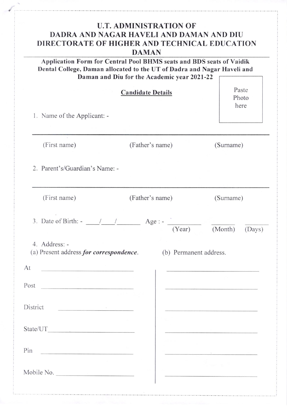| <b>U.T. ADMINISTRATION OF</b><br>DADRA AND NAGAR HAVELI AND DAMAN AND DIU<br>DIRECTORATE OF HIGHER AND TECHNICAL EDUCATION<br><b>DAMAN</b><br>Application Form for Central Pool BHMS seats and BDS seats of Vaidik<br>Dental College, Daman allocated to the UT of Dadra and Nagar Haveli and<br>Daman and Diu for the Academic year 2021-22 |                            |                                                                                                                                                                                                                                      |  |  |  |  |
|----------------------------------------------------------------------------------------------------------------------------------------------------------------------------------------------------------------------------------------------------------------------------------------------------------------------------------------------|----------------------------|--------------------------------------------------------------------------------------------------------------------------------------------------------------------------------------------------------------------------------------|--|--|--|--|
| <b>Candidate Details</b><br>1. Name of the Applicant: -                                                                                                                                                                                                                                                                                      | Paste<br>Photo<br>here     |                                                                                                                                                                                                                                      |  |  |  |  |
| (First name)                                                                                                                                                                                                                                                                                                                                 | (Father's name)            | (Surname)                                                                                                                                                                                                                            |  |  |  |  |
| 2. Parent's/Guardian's Name: -                                                                                                                                                                                                                                                                                                               |                            |                                                                                                                                                                                                                                      |  |  |  |  |
| (First name)                                                                                                                                                                                                                                                                                                                                 | (Father's name)            | (Surname)                                                                                                                                                                                                                            |  |  |  |  |
| 3. Date of Birth: $-$ /                                                                                                                                                                                                                                                                                                                      | $Age: -$<br>(Year) (Month) | (Days)                                                                                                                                                                                                                               |  |  |  |  |
| 4. Address: -<br>(a) Present address for correspondence.                                                                                                                                                                                                                                                                                     | (b) Permanent address.     |                                                                                                                                                                                                                                      |  |  |  |  |
| At                                                                                                                                                                                                                                                                                                                                           |                            |                                                                                                                                                                                                                                      |  |  |  |  |
| Post                                                                                                                                                                                                                                                                                                                                         |                            |                                                                                                                                                                                                                                      |  |  |  |  |
| District                                                                                                                                                                                                                                                                                                                                     |                            |                                                                                                                                                                                                                                      |  |  |  |  |
| State/UT                                                                                                                                                                                                                                                                                                                                     |                            | <u>and the company of the company of the company of the company of the company of the company of the company of the company of the company of the company of the company of the company of the company of the company of the com</u> |  |  |  |  |
| Pin<br><u> Communication de la propriété de la propriété de la propriété de la propriété de la propriété de la propriété de la propriété de la propriété de la propriété de la propriété de la propriété de la propriété de la propriét</u>                                                                                                  |                            | the company of the company of                                                                                                                                                                                                        |  |  |  |  |
| Mobile No.                                                                                                                                                                                                                                                                                                                                   |                            |                                                                                                                                                                                                                                      |  |  |  |  |